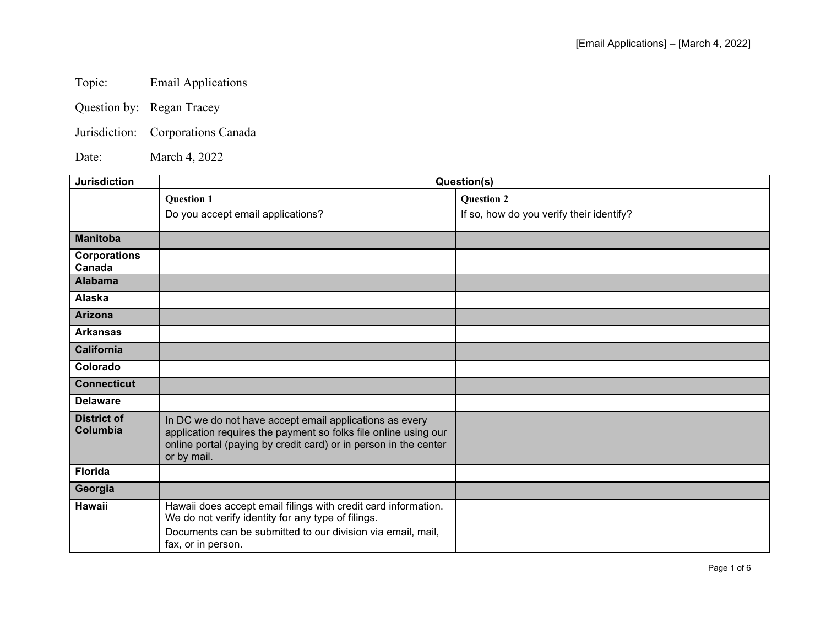Topic: Email Applications

Question by: Regan Tracey

Jurisdiction: Corporations Canada

Date: March 4, 2022

| <b>Jurisdiction</b>            | Question(s)                                                                                                                                                                                                   |                                          |
|--------------------------------|---------------------------------------------------------------------------------------------------------------------------------------------------------------------------------------------------------------|------------------------------------------|
|                                | <b>Question 1</b>                                                                                                                                                                                             | <b>Question 2</b>                        |
|                                | Do you accept email applications?                                                                                                                                                                             | If so, how do you verify their identify? |
| <b>Manitoba</b>                |                                                                                                                                                                                                               |                                          |
| <b>Corporations</b><br>Canada  |                                                                                                                                                                                                               |                                          |
| <b>Alabama</b>                 |                                                                                                                                                                                                               |                                          |
| Alaska                         |                                                                                                                                                                                                               |                                          |
| <b>Arizona</b>                 |                                                                                                                                                                                                               |                                          |
| <b>Arkansas</b>                |                                                                                                                                                                                                               |                                          |
| <b>California</b>              |                                                                                                                                                                                                               |                                          |
| Colorado                       |                                                                                                                                                                                                               |                                          |
| <b>Connecticut</b>             |                                                                                                                                                                                                               |                                          |
| <b>Delaware</b>                |                                                                                                                                                                                                               |                                          |
| <b>District of</b><br>Columbia | In DC we do not have accept email applications as every<br>application requires the payment so folks file online using our<br>online portal (paying by credit card) or in person in the center<br>or by mail. |                                          |
| <b>Florida</b>                 |                                                                                                                                                                                                               |                                          |
| Georgia                        |                                                                                                                                                                                                               |                                          |
| <b>Hawaii</b>                  | Hawaii does accept email filings with credit card information.<br>We do not verify identity for any type of filings.<br>Documents can be submitted to our division via email, mail,<br>fax, or in person.     |                                          |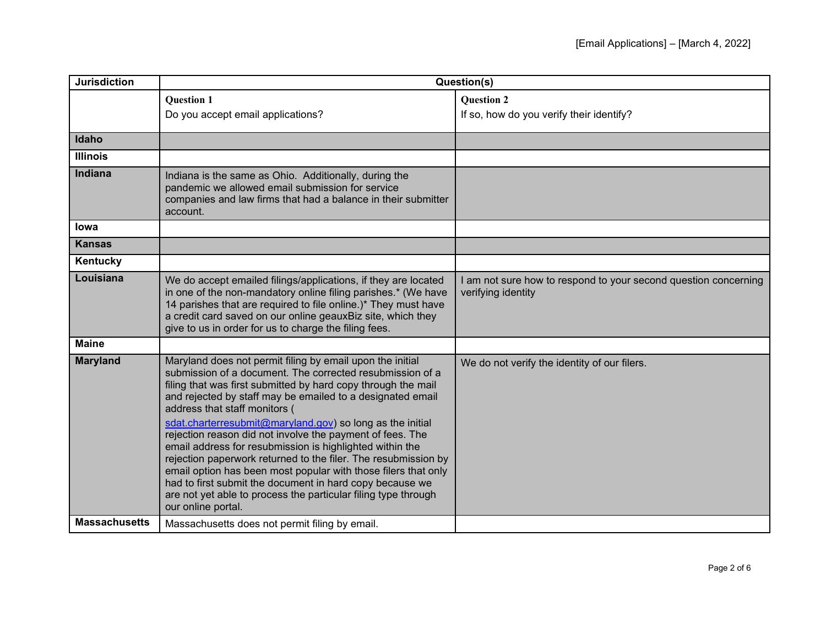| <b>Jurisdiction</b>  | Question(s)                                                                                                                                                                                                                                                                                                                                                                                                                                                                                                                                                                                                                                                                                                                                                          |                                                                                       |
|----------------------|----------------------------------------------------------------------------------------------------------------------------------------------------------------------------------------------------------------------------------------------------------------------------------------------------------------------------------------------------------------------------------------------------------------------------------------------------------------------------------------------------------------------------------------------------------------------------------------------------------------------------------------------------------------------------------------------------------------------------------------------------------------------|---------------------------------------------------------------------------------------|
|                      | <b>Question 1</b>                                                                                                                                                                                                                                                                                                                                                                                                                                                                                                                                                                                                                                                                                                                                                    | <b>Question 2</b>                                                                     |
|                      | Do you accept email applications?                                                                                                                                                                                                                                                                                                                                                                                                                                                                                                                                                                                                                                                                                                                                    | If so, how do you verify their identify?                                              |
| Idaho                |                                                                                                                                                                                                                                                                                                                                                                                                                                                                                                                                                                                                                                                                                                                                                                      |                                                                                       |
| <b>Illinois</b>      |                                                                                                                                                                                                                                                                                                                                                                                                                                                                                                                                                                                                                                                                                                                                                                      |                                                                                       |
| <b>Indiana</b>       | Indiana is the same as Ohio. Additionally, during the<br>pandemic we allowed email submission for service<br>companies and law firms that had a balance in their submitter<br>account.                                                                                                                                                                                                                                                                                                                                                                                                                                                                                                                                                                               |                                                                                       |
| <b>lowa</b>          |                                                                                                                                                                                                                                                                                                                                                                                                                                                                                                                                                                                                                                                                                                                                                                      |                                                                                       |
| <b>Kansas</b>        |                                                                                                                                                                                                                                                                                                                                                                                                                                                                                                                                                                                                                                                                                                                                                                      |                                                                                       |
| Kentucky             |                                                                                                                                                                                                                                                                                                                                                                                                                                                                                                                                                                                                                                                                                                                                                                      |                                                                                       |
| Louisiana            | We do accept emailed filings/applications, if they are located<br>in one of the non-mandatory online filing parishes.* (We have<br>14 parishes that are required to file online.)* They must have<br>a credit card saved on our online geauxBiz site, which they<br>give to us in order for us to charge the filing fees.                                                                                                                                                                                                                                                                                                                                                                                                                                            | I am not sure how to respond to your second question concerning<br>verifying identity |
| <b>Maine</b>         |                                                                                                                                                                                                                                                                                                                                                                                                                                                                                                                                                                                                                                                                                                                                                                      |                                                                                       |
| <b>Maryland</b>      | Maryland does not permit filing by email upon the initial<br>submission of a document. The corrected resubmission of a<br>filing that was first submitted by hard copy through the mail<br>and rejected by staff may be emailed to a designated email<br>address that staff monitors (<br>sdat.charterresubmit@maryland.gov) so long as the initial<br>rejection reason did not involve the payment of fees. The<br>email address for resubmission is highlighted within the<br>rejection paperwork returned to the filer. The resubmission by<br>email option has been most popular with those filers that only<br>had to first submit the document in hard copy because we<br>are not yet able to process the particular filing type through<br>our online portal. | We do not verify the identity of our filers.                                          |
| <b>Massachusetts</b> | Massachusetts does not permit filing by email.                                                                                                                                                                                                                                                                                                                                                                                                                                                                                                                                                                                                                                                                                                                       |                                                                                       |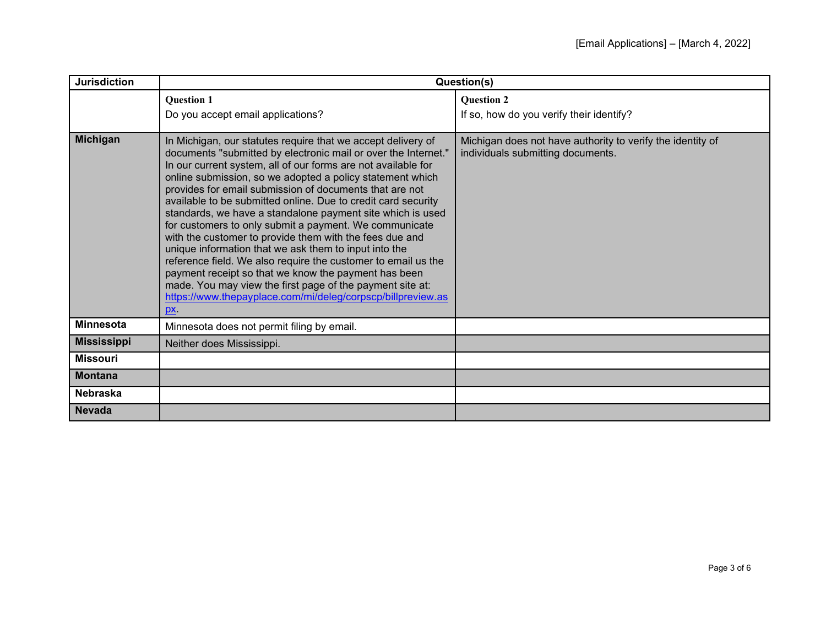| <b>Jurisdiction</b> | Question(s)                                                                                                                                                                                                                                                                                                                                                                                                                                                                                                                                                                                                                                                                                                                                                                                                                                                                                      |                                                                                                 |
|---------------------|--------------------------------------------------------------------------------------------------------------------------------------------------------------------------------------------------------------------------------------------------------------------------------------------------------------------------------------------------------------------------------------------------------------------------------------------------------------------------------------------------------------------------------------------------------------------------------------------------------------------------------------------------------------------------------------------------------------------------------------------------------------------------------------------------------------------------------------------------------------------------------------------------|-------------------------------------------------------------------------------------------------|
|                     | <b>Question 1</b><br>Do you accept email applications?                                                                                                                                                                                                                                                                                                                                                                                                                                                                                                                                                                                                                                                                                                                                                                                                                                           | <b>Question 2</b><br>If so, how do you verify their identify?                                   |
| Michigan            | In Michigan, our statutes require that we accept delivery of<br>documents "submitted by electronic mail or over the Internet."<br>In our current system, all of our forms are not available for<br>online submission, so we adopted a policy statement which<br>provides for email submission of documents that are not<br>available to be submitted online. Due to credit card security<br>standards, we have a standalone payment site which is used<br>for customers to only submit a payment. We communicate<br>with the customer to provide them with the fees due and<br>unique information that we ask them to input into the<br>reference field. We also require the customer to email us the<br>payment receipt so that we know the payment has been<br>made. You may view the first page of the payment site at:<br>https://www.thepayplace.com/mi/deleg/corpscp/billpreview.as<br>px. | Michigan does not have authority to verify the identity of<br>individuals submitting documents. |
| <b>Minnesota</b>    | Minnesota does not permit filing by email.                                                                                                                                                                                                                                                                                                                                                                                                                                                                                                                                                                                                                                                                                                                                                                                                                                                       |                                                                                                 |
| <b>Mississippi</b>  | Neither does Mississippi.                                                                                                                                                                                                                                                                                                                                                                                                                                                                                                                                                                                                                                                                                                                                                                                                                                                                        |                                                                                                 |
| <b>Missouri</b>     |                                                                                                                                                                                                                                                                                                                                                                                                                                                                                                                                                                                                                                                                                                                                                                                                                                                                                                  |                                                                                                 |
| <b>Montana</b>      |                                                                                                                                                                                                                                                                                                                                                                                                                                                                                                                                                                                                                                                                                                                                                                                                                                                                                                  |                                                                                                 |
| <b>Nebraska</b>     |                                                                                                                                                                                                                                                                                                                                                                                                                                                                                                                                                                                                                                                                                                                                                                                                                                                                                                  |                                                                                                 |
| <b>Nevada</b>       |                                                                                                                                                                                                                                                                                                                                                                                                                                                                                                                                                                                                                                                                                                                                                                                                                                                                                                  |                                                                                                 |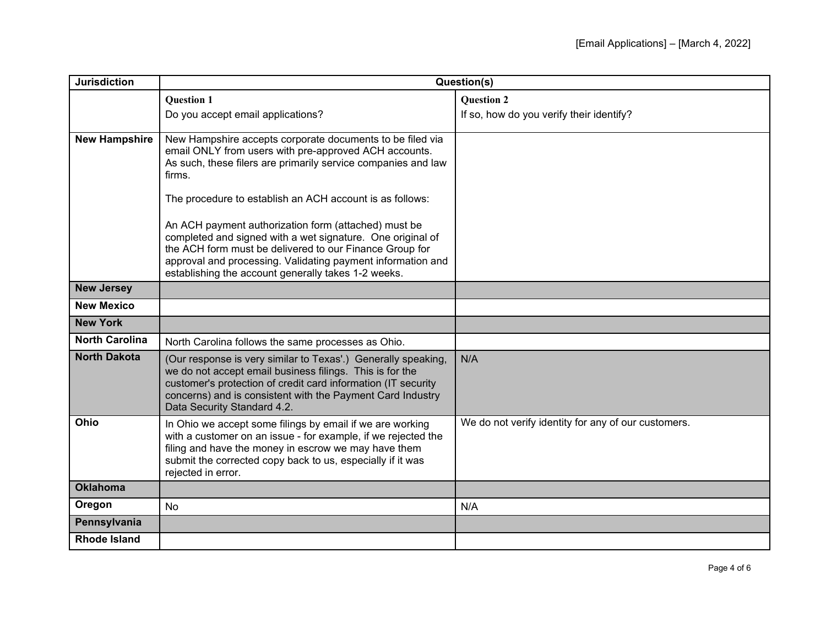| <b>Jurisdiction</b>   | Question(s)                                                                                                                                                                                                                                                                                                                                                     |                                                     |
|-----------------------|-----------------------------------------------------------------------------------------------------------------------------------------------------------------------------------------------------------------------------------------------------------------------------------------------------------------------------------------------------------------|-----------------------------------------------------|
|                       | <b>Question 1</b>                                                                                                                                                                                                                                                                                                                                               | <b>Question 2</b>                                   |
|                       | Do you accept email applications?                                                                                                                                                                                                                                                                                                                               | If so, how do you verify their identify?            |
| <b>New Hampshire</b>  | New Hampshire accepts corporate documents to be filed via<br>email ONLY from users with pre-approved ACH accounts.<br>As such, these filers are primarily service companies and law<br>firms.                                                                                                                                                                   |                                                     |
|                       | The procedure to establish an ACH account is as follows:<br>An ACH payment authorization form (attached) must be<br>completed and signed with a wet signature. One original of<br>the ACH form must be delivered to our Finance Group for<br>approval and processing. Validating payment information and<br>establishing the account generally takes 1-2 weeks. |                                                     |
| <b>New Jersey</b>     |                                                                                                                                                                                                                                                                                                                                                                 |                                                     |
| <b>New Mexico</b>     |                                                                                                                                                                                                                                                                                                                                                                 |                                                     |
| <b>New York</b>       |                                                                                                                                                                                                                                                                                                                                                                 |                                                     |
| <b>North Carolina</b> | North Carolina follows the same processes as Ohio.                                                                                                                                                                                                                                                                                                              |                                                     |
| <b>North Dakota</b>   | (Our response is very similar to Texas'.) Generally speaking,<br>we do not accept email business filings. This is for the<br>customer's protection of credit card information (IT security<br>concerns) and is consistent with the Payment Card Industry<br>Data Security Standard 4.2.                                                                         | N/A                                                 |
| Ohio                  | In Ohio we accept some filings by email if we are working<br>with a customer on an issue - for example, if we rejected the<br>filing and have the money in escrow we may have them<br>submit the corrected copy back to us, especially if it was<br>rejected in error.                                                                                          | We do not verify identity for any of our customers. |
| <b>Oklahoma</b>       |                                                                                                                                                                                                                                                                                                                                                                 |                                                     |
| Oregon                | <b>No</b>                                                                                                                                                                                                                                                                                                                                                       | N/A                                                 |
| Pennsylvania          |                                                                                                                                                                                                                                                                                                                                                                 |                                                     |
| <b>Rhode Island</b>   |                                                                                                                                                                                                                                                                                                                                                                 |                                                     |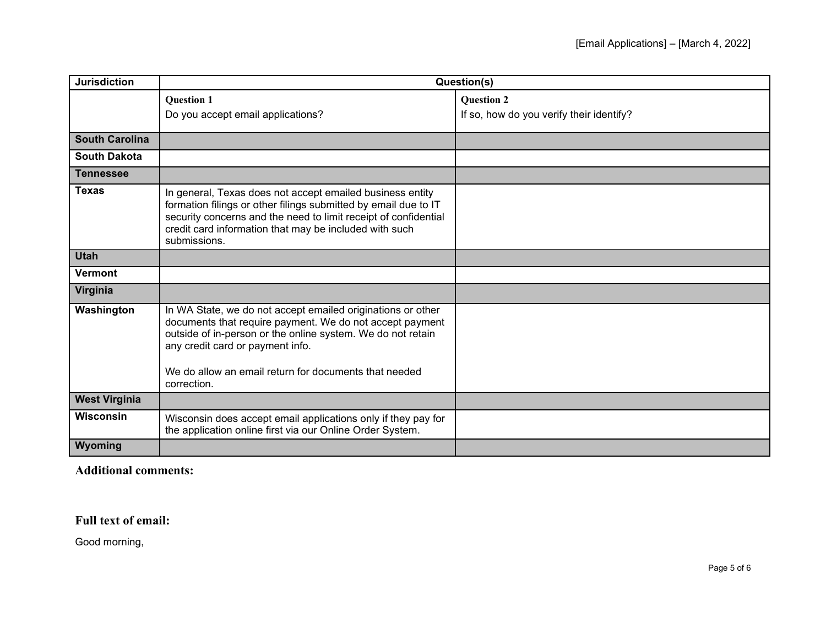| <b>Jurisdiction</b>   | Question(s)                                                                                                                                                                                                                                                                                        |                                          |
|-----------------------|----------------------------------------------------------------------------------------------------------------------------------------------------------------------------------------------------------------------------------------------------------------------------------------------------|------------------------------------------|
|                       | <b>Question 1</b>                                                                                                                                                                                                                                                                                  | <b>Question 2</b>                        |
|                       | Do you accept email applications?                                                                                                                                                                                                                                                                  | If so, how do you verify their identify? |
| <b>South Carolina</b> |                                                                                                                                                                                                                                                                                                    |                                          |
| <b>South Dakota</b>   |                                                                                                                                                                                                                                                                                                    |                                          |
| <b>Tennessee</b>      |                                                                                                                                                                                                                                                                                                    |                                          |
| <b>Texas</b>          | In general, Texas does not accept emailed business entity<br>formation filings or other filings submitted by email due to IT<br>security concerns and the need to limit receipt of confidential<br>credit card information that may be included with such<br>submissions.                          |                                          |
| <b>Utah</b>           |                                                                                                                                                                                                                                                                                                    |                                          |
| <b>Vermont</b>        |                                                                                                                                                                                                                                                                                                    |                                          |
| Virginia              |                                                                                                                                                                                                                                                                                                    |                                          |
| Washington            | In WA State, we do not accept emailed originations or other<br>documents that require payment. We do not accept payment<br>outside of in-person or the online system. We do not retain<br>any credit card or payment info.<br>We do allow an email return for documents that needed<br>correction. |                                          |
| <b>West Virginia</b>  |                                                                                                                                                                                                                                                                                                    |                                          |
| Wisconsin             | Wisconsin does accept email applications only if they pay for<br>the application online first via our Online Order System.                                                                                                                                                                         |                                          |
| Wyoming               |                                                                                                                                                                                                                                                                                                    |                                          |

**Additional comments:**

## **Full text of email:**

Good morning,